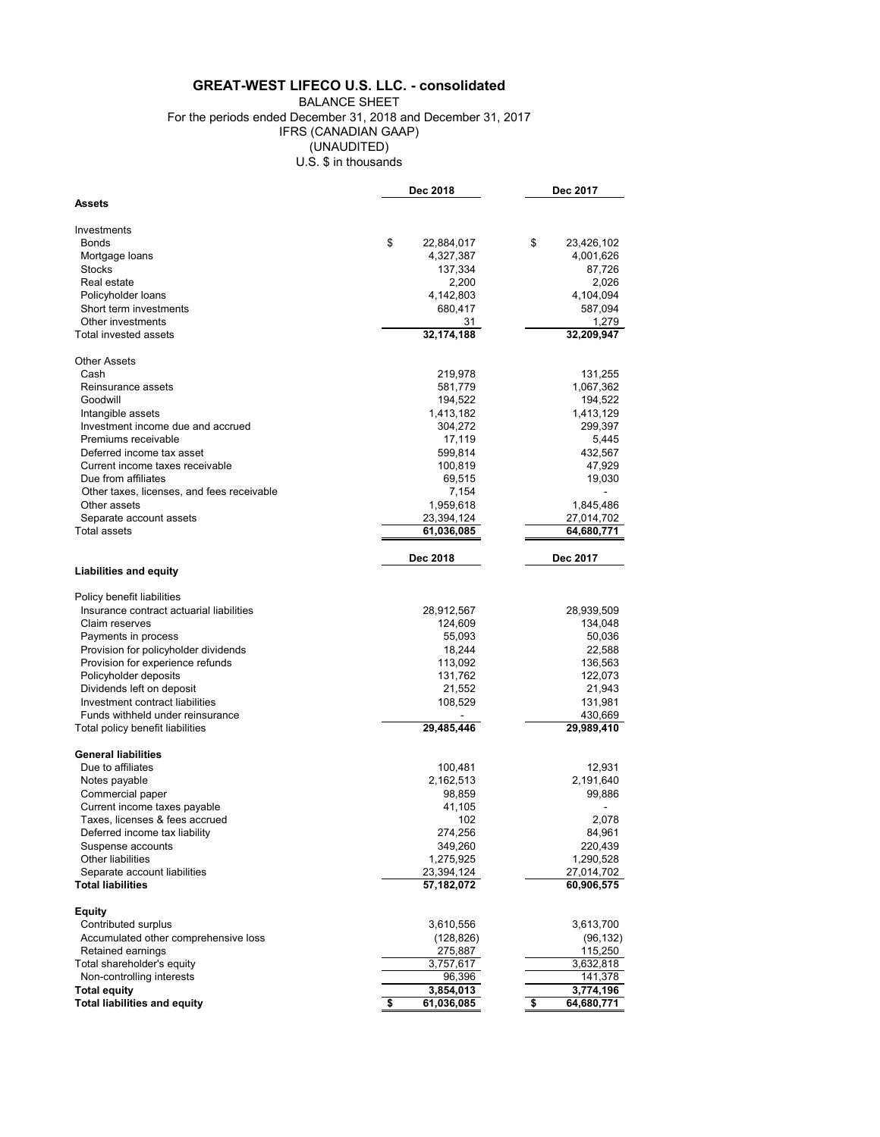|                                            | <b>Dec 2018</b>  | <b>Dec 2017</b>                    |
|--------------------------------------------|------------------|------------------------------------|
| <b>Assets</b>                              |                  |                                    |
| Investments                                |                  |                                    |
| <b>Bonds</b>                               | \$<br>22,884,017 | \$<br>23,426,102                   |
| Mortgage Ioans                             | 4,327,387        | 4,001,626                          |
| <b>Stocks</b>                              | 137,334          | 87,726                             |
| Real estate                                | 2,200            | 2,026                              |
| Policyholder loans                         | 4,142,803        | 4,104,094                          |
| Short term investments                     | 680,417          | 587,094                            |
| Other investments                          | 31               | 1,279                              |
| <b>Total invested assets</b>               | 32,174,188       | 32,209,947                         |
| <b>Other Assets</b>                        |                  |                                    |
| Cash                                       | 219,978          | 131,255                            |
| Reinsurance assets                         | 581,779          | 1,067,362                          |
| Goodwill                                   | 194,522          | 194,522                            |
| Intangible assets                          | 1,413,182        | 1,413,129                          |
| Investment income due and accrued          | 304,272          | 299,397                            |
| Premiums receivable                        | 17,119           | 5,445                              |
| Deferred income tax asset                  | 599,814          | 432,567                            |
| Current income taxes receivable            | 100,819          | 47,929                             |
| Due from affiliates                        | 69,515           | 19,030                             |
| Other taxes, licenses, and fees receivable | 7,154            |                                    |
| Other assets                               | 1,959,618        | 1,845,486                          |
| Separate account assets                    | 23,394,124       | 27,014,702                         |
| Total assets                               | 61,036,085       | 64,680,771                         |
|                                            | <b>Dec 2018</b>  | <b>Dec 2017</b>                    |
| <b>Liabilities and equity</b>              |                  |                                    |
| Policy benefit liabilities                 |                  |                                    |
| Insurance contract actuarial liabilities   | 28,912,567       | 28,939,509                         |
| Claim reserves                             | 124,609          | 134,048                            |
| Payments in process                        | 55,093           | 50,036                             |
| Provision for policyholder dividends       | 18,244           | 22,588                             |
| Provision for experience refunds           | 113,092          | 136,563                            |
| Policyholder deposits                      | 131,762          | 122,073                            |
| Dividends left on deposit                  | 21,552           | 21,943                             |
| <b>Investment contract liabilities</b>     | 108,529          | 131,981                            |
| Funds withheld under reinsurance           |                  | 430,669                            |
| Total policy benefit liabilities           | 29,485,446       | 29,989,410                         |
| <b>General liabilities</b>                 |                  |                                    |
| Due to affiliates                          | 100,481          | 12,931                             |
| Notes payable                              | 2,162,513        | 2,191,640                          |
| Commercial paper                           | 98,859           | 99,886                             |
| Current income taxes payable               | 41,105           |                                    |
| Taxes, licenses & fees accrued             | 102              | 2,078                              |
| Deferred income tax liability              | 274,256          | 84,961                             |
| Suspense accounts                          | 349,260          | 220,439                            |
| <b>Other liabilities</b>                   | 1,275,925        | 1,290,528                          |
| Separate account liabilities               | 23,394,124       | 27,014,702                         |
| <b>Total liabilities</b>                   | 57,182,072       | 60,906,575                         |
| <b>Equity</b>                              |                  |                                    |
| Contributed surplus                        | 3,610,556        | 3,613,700                          |
| Accumulated other comprehensive loss       | (128, 826)       | (96, 132)                          |
| Retained earnings                          | 275,887          | 115,250                            |
| Total shareholder's equity                 | 3,757,617        | 3,632,818                          |
| Non-controlling interests                  | 96,396           | 141,378                            |
| <b>Total equity</b>                        | 3,854,013        | 3,774,196                          |
| <b>Total liabilities and equity</b>        | 61,036,085<br>\$ | $\overline{\bullet}$<br>64,680,771 |

U.S. \$ in thousands BALANCE SHEET For the periods ended December 31, 2018 and December 31, 2017 IFRS (CANADIAN GAAP) (UNAUDITED)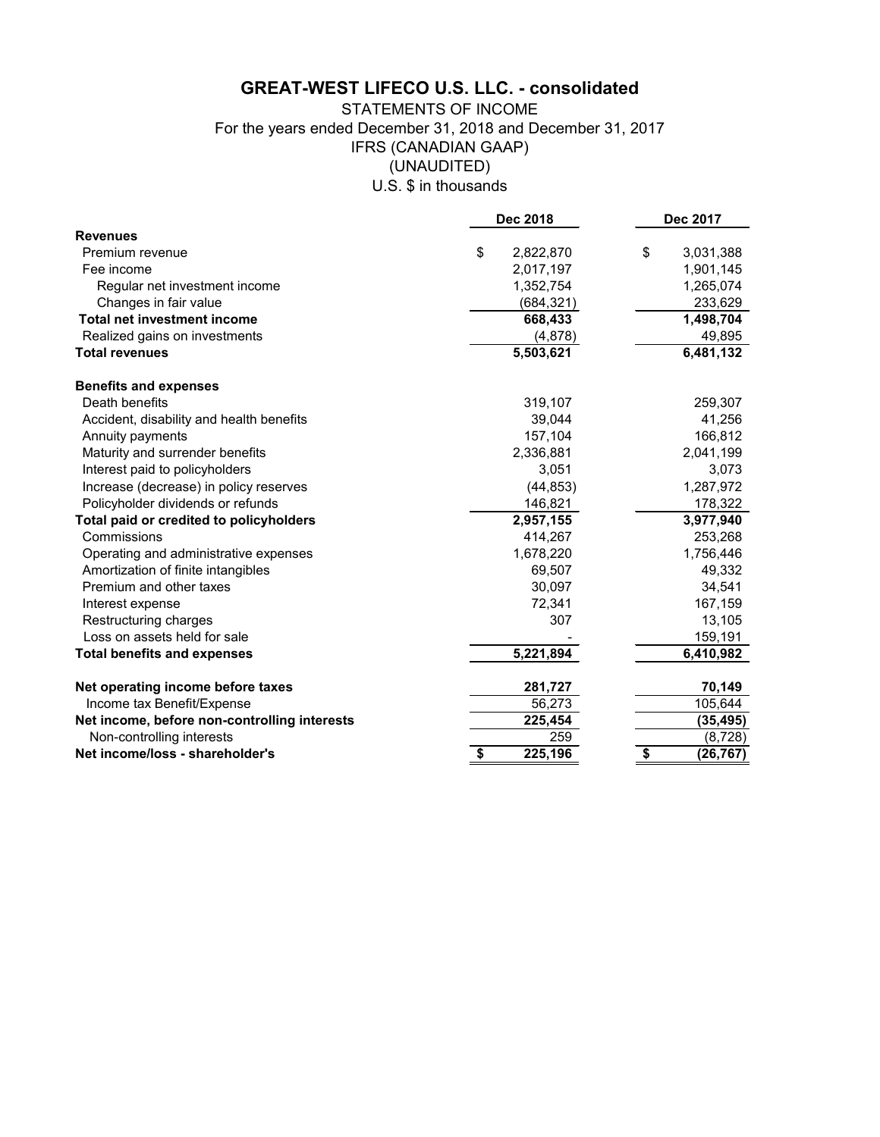### U.S. \$ in thousands STATEMENTS OF INCOME For the years ended December 31, 2018 and December 31, 2017 IFRS (CANADIAN GAAP) (UNAUDITED)

|                                              | <b>Dec 2018</b> | <b>Dec 2017</b> |
|----------------------------------------------|-----------------|-----------------|
| <b>Revenues</b>                              |                 |                 |
| Premium revenue                              | \$<br>2,822,870 | \$<br>3,031,388 |
| Fee income                                   | 2,017,197       | 1,901,145       |
| Regular net investment income                | 1,352,754       | 1,265,074       |
| Changes in fair value                        | (684, 321)      | 233,629         |
| <b>Total net investment income</b>           | 668,433         | 1,498,704       |
| Realized gains on investments                | (4,878)         | 49,895          |
| <b>Total revenues</b>                        | 5,503,621       | 6,481,132       |
| <b>Benefits and expenses</b>                 |                 |                 |
| Death benefits                               | 319,107         | 259,307         |
| Accident, disability and health benefits     | 39,044          | 41,256          |
| Annuity payments                             | 157,104         | 166,812         |
| Maturity and surrender benefits              | 2,336,881       | 2,041,199       |
| Interest paid to policyholders               | 3,051           | 3,073           |
| Increase (decrease) in policy reserves       | (44, 853)       | 1,287,972       |
| Policyholder dividends or refunds            | 146,821         | 178,322         |
| Total paid or credited to policyholders      | 2,957,155       | 3,977,940       |
| Commissions                                  | 414,267         | 253,268         |
| Operating and administrative expenses        | 1,678,220       | 1,756,446       |
| Amortization of finite intangibles           | 69,507          | 49,332          |
| Premium and other taxes                      | 30,097          | 34,541          |
| Interest expense                             | 72,341          | 167,159         |
| Restructuring charges                        | 307             | 13,105          |
| Loss on assets held for sale                 |                 | 159,191         |
| <b>Total benefits and expenses</b>           | 5,221,894       | 6,410,982       |
| Net operating income before taxes            | 281,727         | 70,149          |
| Income tax Benefit/Expense                   | 56,273          | 105,644         |
| Net income, before non-controlling interests | 225,454         | (35, 495)       |
| Non-controlling interests                    | 259             | (8, 728)        |
| Net income/loss - shareholder's              | 225,196<br>\$   | \$<br>(26, 767) |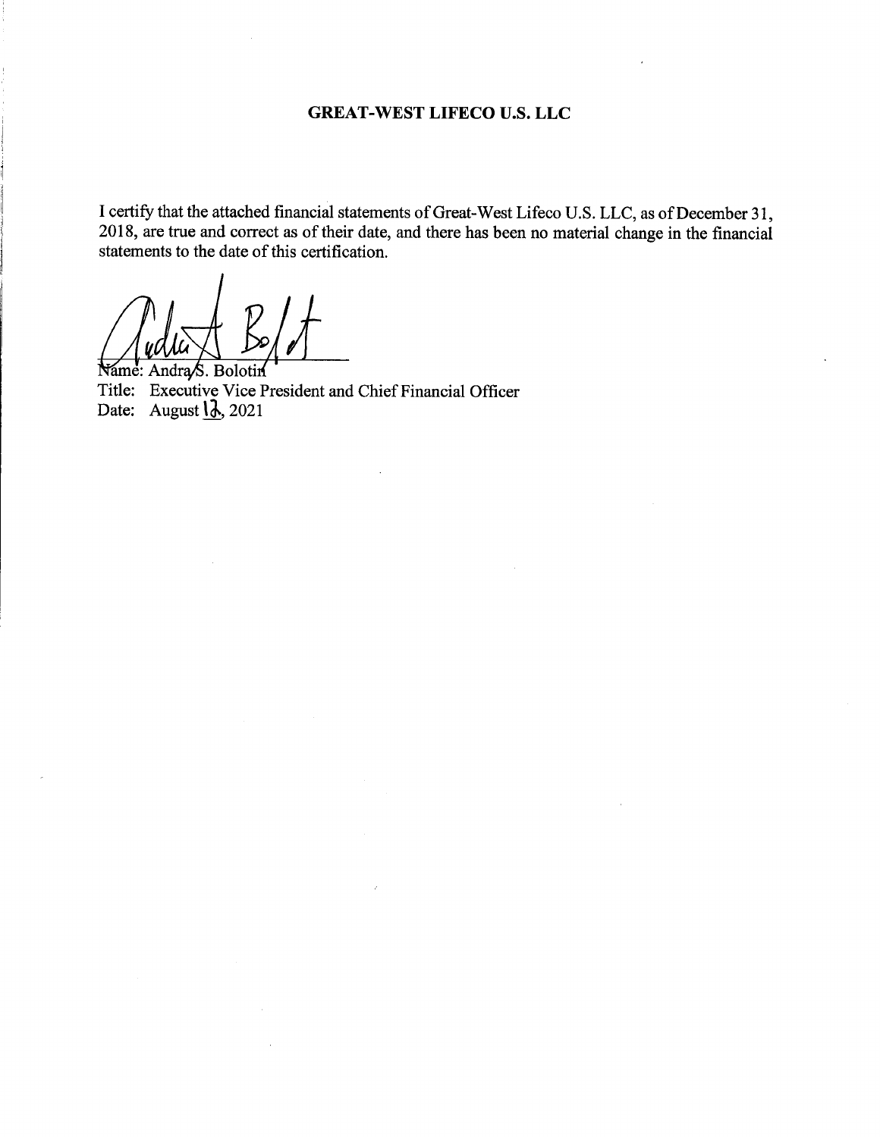I certify that the attached financial statements of Great-West Lifeco U.S. LLC, as of December 31, 2018, are true and correct as of their date, and there has been no material change in the financial statements to the date of this certification.

Name: Andra/S. Bolotin Title: Executive Vice President and Chief Financial Officer<br>Date: August  $\frac{1}{6}$ , 2021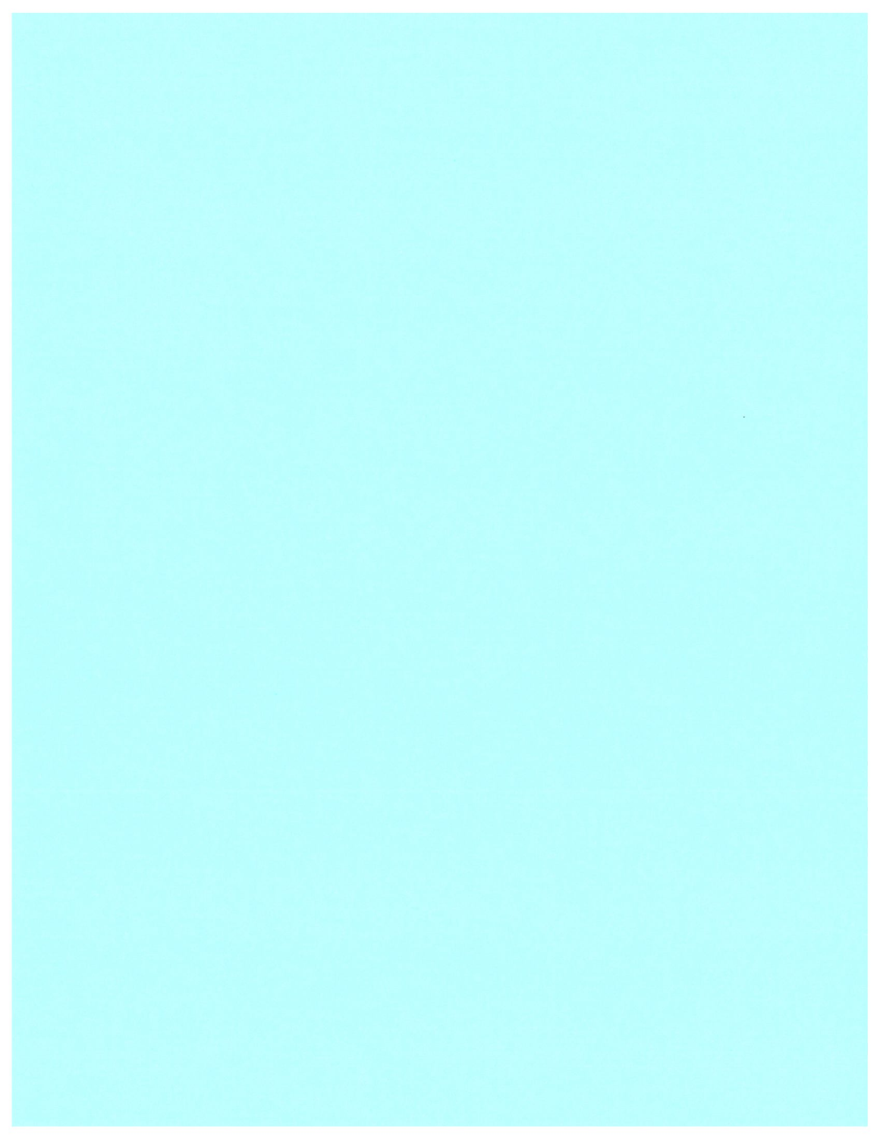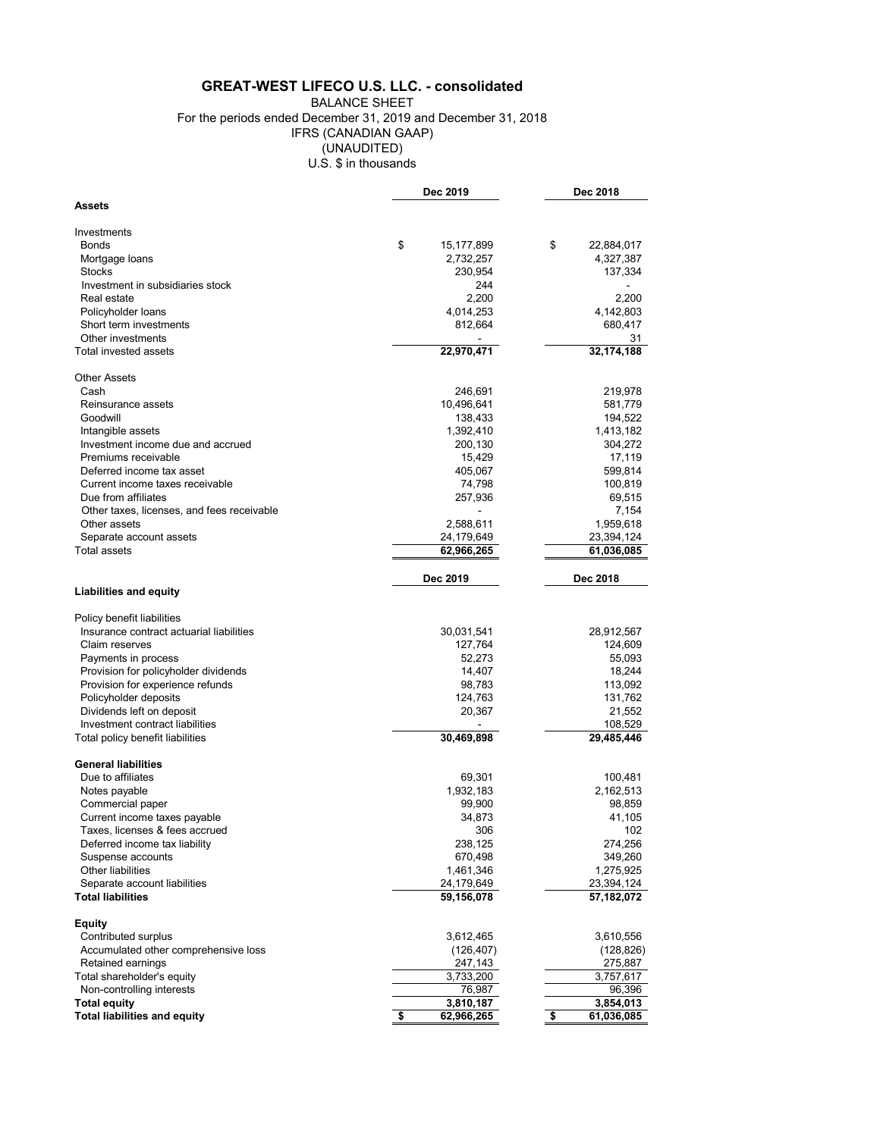|                                                  | <b>Dec 2019</b>     | <b>Dec 2018</b>     |
|--------------------------------------------------|---------------------|---------------------|
| <b>Assets</b>                                    |                     |                     |
| Investments                                      |                     |                     |
| <b>Bonds</b>                                     | \$<br>15,177,899    | \$<br>22,884,017    |
| Mortgage loans                                   | 2,732,257           | 4,327,387           |
| <b>Stocks</b>                                    | 230,954             | 137,334             |
| Investment in subsidiaries stock                 | 244                 |                     |
| Real estate                                      | 2,200               | 2,200               |
| Policyholder loans                               | 4,014,253           | 4,142,803           |
| Short term investments                           | 812,664             | 680,417             |
| Other investments                                |                     | 31                  |
| Total invested assets                            | 22,970,471          | 32,174,188          |
| <b>Other Assets</b>                              |                     |                     |
| Cash                                             | 246,691             | 219,978             |
| Reinsurance assets                               | 10,496,641          | 581,779             |
| Goodwill                                         | 138,433             | 194,522             |
| Intangible assets                                | 1,392,410           | 1,413,182           |
| Investment income due and accrued                | 200,130             | 304,272             |
| Premiums receivable                              | 15,429              | 17,119              |
| Deferred income tax asset                        | 405,067             | 599,814             |
| Current income taxes receivable                  | 74,798              | 100,819             |
| Due from affiliates                              | 257,936             | 69,515              |
| Other taxes, licenses, and fees receivable       |                     | 7,154               |
| Other assets                                     | 2,588,611           | 1,959,618           |
| Separate account assets                          | 24,179,649          | 23,394,124          |
| <b>Total assets</b>                              | 62,966,265          | 61,036,085          |
|                                                  | <b>Dec 2019</b>     | <b>Dec 2018</b>     |
| <b>Liabilities and equity</b>                    |                     |                     |
| Policy benefit liabilities                       |                     |                     |
| Insurance contract actuarial liabilities         | 30,031,541          | 28,912,567          |
| <b>Claim reserves</b>                            | 127,764             | 124,609             |
| Payments in process                              | 52,273              | 55,093              |
| Provision for policyholder dividends             | 14,407              | 18,244              |
| Provision for experience refunds                 | 98,783              | 113,092             |
| Policyholder deposits                            | 124,763             | 131,762             |
| Dividends left on deposit                        | 20,367              | 21,552              |
| Investment contract liabilities                  |                     | 108,529             |
| Total policy benefit liabilities                 | 30,469,898          | 29,485,446          |
|                                                  |                     |                     |
| <b>General liabilities</b><br>Due to affiliates  |                     |                     |
|                                                  | 69,301              | 100,481             |
| Notes payable                                    | 1,932,183<br>99,900 | 2,162,513<br>98,859 |
| Commercial paper<br>Current income taxes payable | 34,873              | 41,105              |
| Taxes, licenses & fees accrued                   | 306                 | 102                 |
| Deferred income tax liability                    | 238,125             | 274,256             |
|                                                  | 670,498             |                     |
| Suspense accounts<br><b>Other liabilities</b>    | 1,461,346           | 349,260             |
|                                                  |                     | 1,275,925           |
| Separate account liabilities                     | 24,179,649          | 23,394,124          |
| <b>Total liabilities</b>                         | 59,156,078          | 57,182,072          |
| <b>Equity</b>                                    |                     |                     |
| Contributed surplus                              | 3,612,465           | 3,610,556           |
| Accumulated other comprehensive loss             | (126, 407)          | (128, 826)          |
| Retained earnings                                | 247,143             | 275,887             |
| Total shareholder's equity                       | 3,733,200           | 3,757,617           |
| Non-controlling interests                        | 76,987              | 96,396              |
| <b>Total equity</b>                              | 3,810,187           | 3,854,013           |
| <b>Total liabilities and equity</b>              | \$<br>62,966,265    | \$<br>61,036,085    |

### U.S. \$ in thousands BALANCE SHEET For the periods ended December 31, 2019 and December 31, 2018 IFRS (CANADIAN GAAP) (UNAUDITED)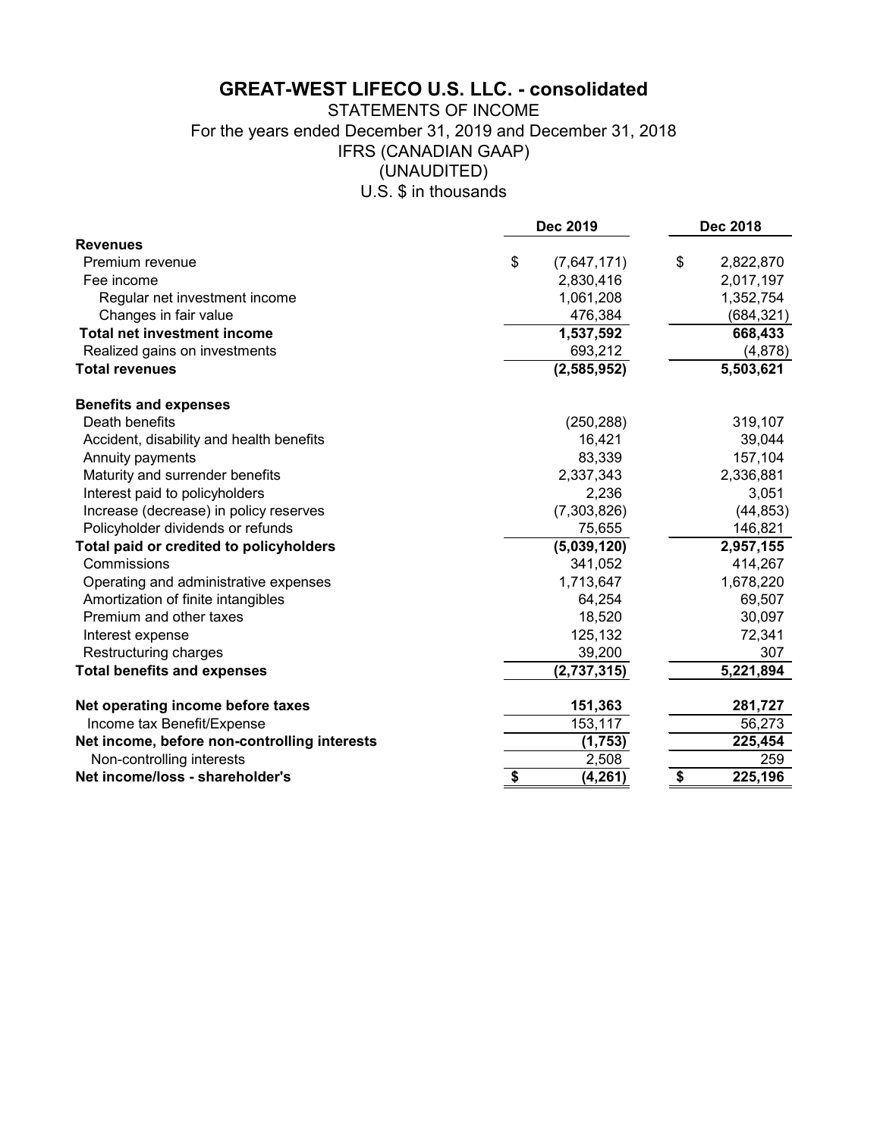### U.S. \$ in thousands STATEMENTS OF INCOME For the years ended December 31, 2019 and December 31, 2018 IFRS (CANADIAN GAAP) (UNAUDITED)

|                                              | <b>Dec 2019</b>   | <b>Dec 2018</b> |
|----------------------------------------------|-------------------|-----------------|
| <b>Revenues</b>                              |                   |                 |
| Premium revenue                              | \$<br>(7,647,171) | \$<br>2,822,870 |
| Fee income                                   | 2,830,416         | 2,017,197       |
| Regular net investment income                | 1,061,208         | 1,352,754       |
| Changes in fair value                        | 476,384           | (684, 321)      |
| <b>Total net investment income</b>           | 1,537,592         | 668,433         |
| Realized gains on investments                | 693,212           | (4,878)         |
| <b>Total revenues</b>                        | (2,585,952)       | 5,503,621       |
| <b>Benefits and expenses</b>                 |                   |                 |
| Death benefits                               | (250, 288)        | 319,107         |
| Accident, disability and health benefits     | 16,421            | 39,044          |
| <b>Annuity payments</b>                      | 83,339            | 157,104         |
| Maturity and surrender benefits              | 2,337,343         | 2,336,881       |
| Interest paid to policyholders               | 2,236             | 3,051           |
| Increase (decrease) in policy reserves       | (7,303,826)       | (44, 853)       |
| Policyholder dividends or refunds            | 75,655            | 146,821         |
| Total paid or credited to policyholders      | (5,039,120)       | 2,957,155       |
| Commissions                                  | 341,052           | 414,267         |
| Operating and administrative expenses        | 1,713,647         | 1,678,220       |
| Amortization of finite intangibles           | 64,254            | 69,507          |
| Premium and other taxes                      | 18,520            | 30,097          |
| Interest expense                             | 125,132           | 72,341          |
| <b>Restructuring charges</b>                 | 39,200            | 307             |
| <b>Total benefits and expenses</b>           | (2,737,315)       | 5,221,894       |
| Net operating income before taxes            | 151,363           | 281,727         |
| Income tax Benefit/Expense                   | 153,117           | 56,273          |
| Net income, before non-controlling interests | (1,753)           | 225,454         |
| Non-controlling interests                    | 2,508             | 259             |
| Net income/loss - shareholder's              | \$<br>(4, 261)    | \$<br>225,196   |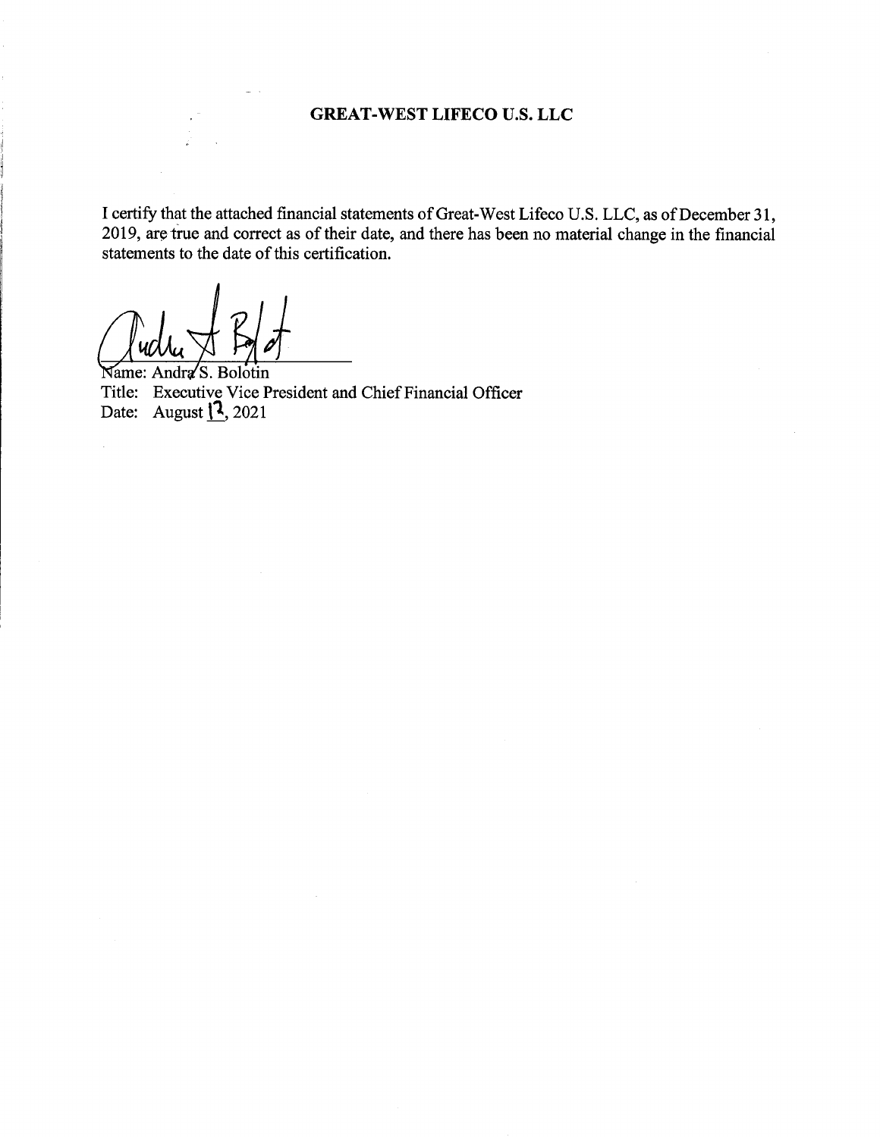I certify that the attached financial statements of Great-West Lifeco U.S. LLC, as of December 31, 2019, aretrue and correct as of their date, and there has been no material change in the financial statements to the date of this certification.

 $\overline{\phantom{a}}$ 

Name: Andra<sup>S</sup>. Bolotin Title: Executive Vice President and Chief Financial Officer Date: August **12**, 2021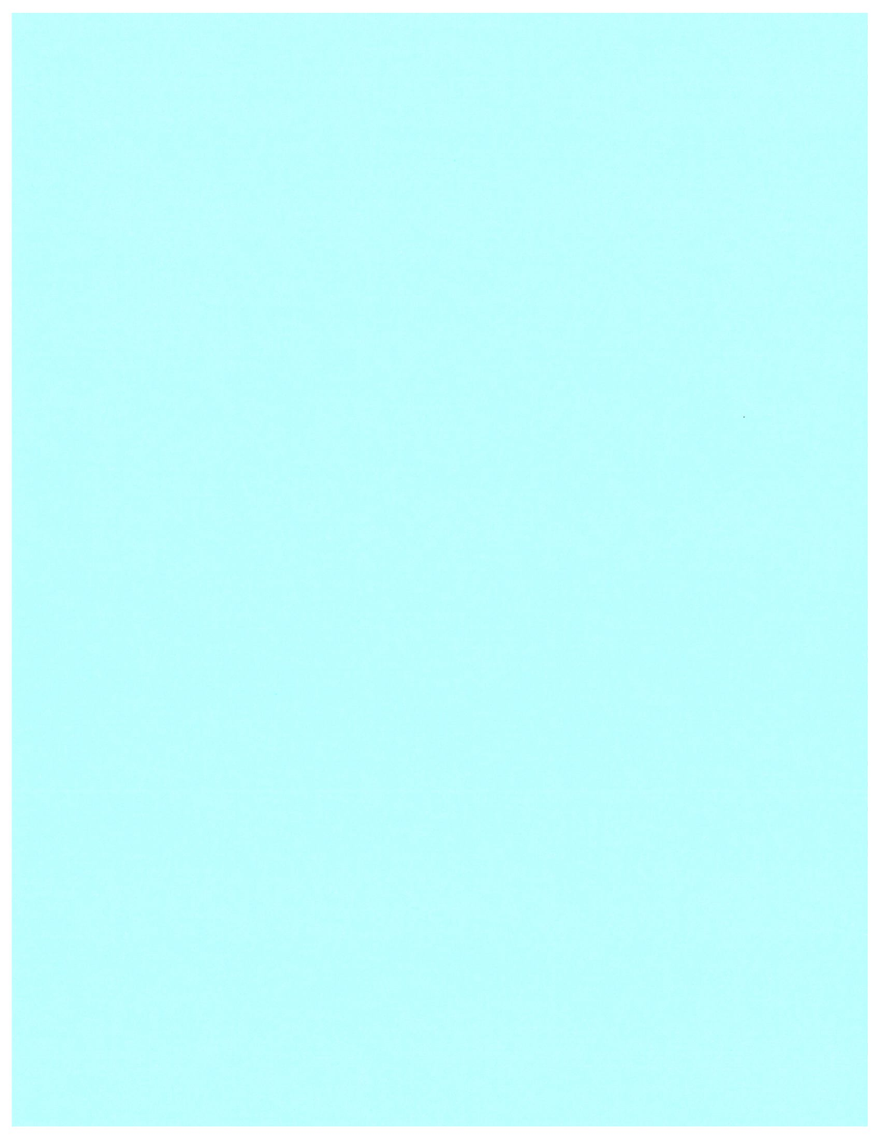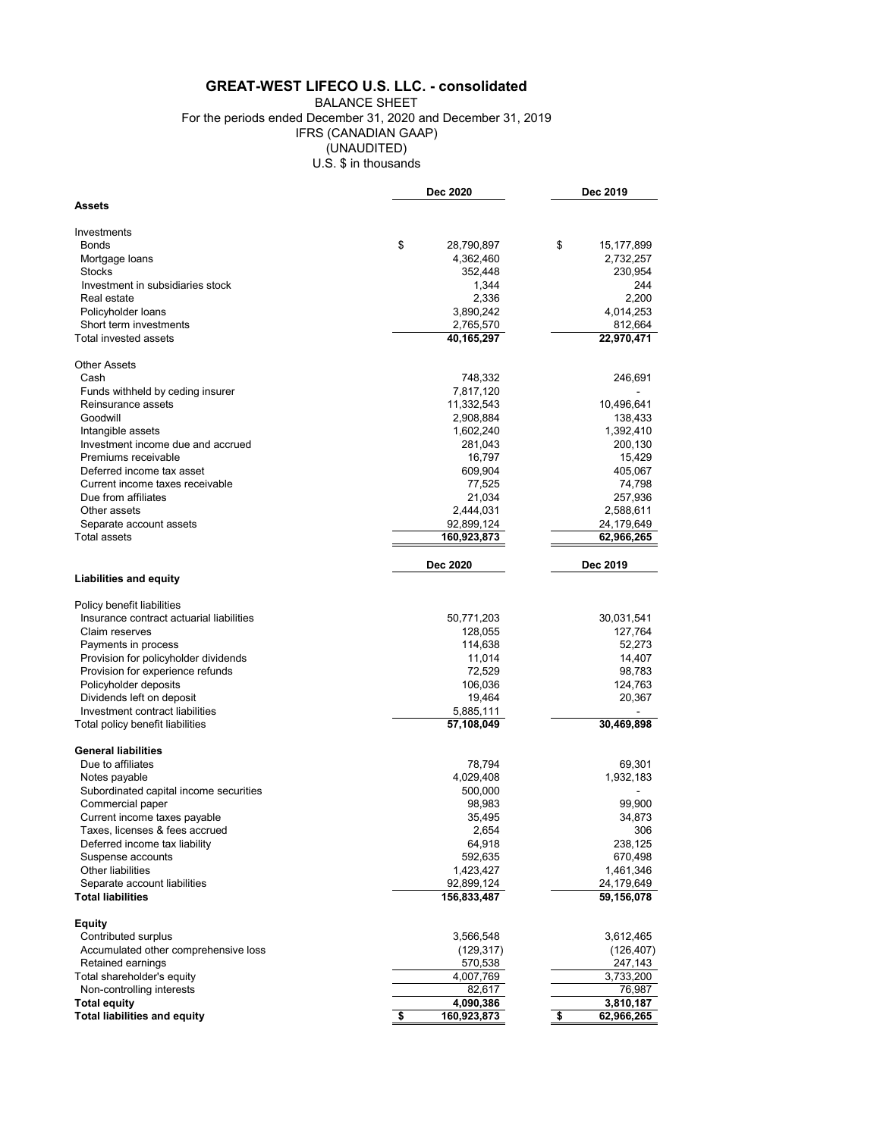|                                          | <b>Dec 2020</b>   | <b>Dec 2019</b>    |
|------------------------------------------|-------------------|--------------------|
| <b>Assets</b>                            |                   |                    |
| Investments                              |                   |                    |
| <b>Bonds</b>                             | \$<br>28,790,897  | \$<br>15, 177, 899 |
| Mortgage Ioans                           | 4,362,460         | 2,732,257          |
| <b>Stocks</b>                            | 352,448           | 230,954            |
| Investment in subsidiaries stock         | 1,344             | 244                |
| <b>Real estate</b>                       | 2,336             | 2,200              |
| Policyholder loans                       | 3,890,242         | 4,014,253          |
| Short term investments                   | 2,765,570         | 812,664            |
| Total invested assets                    | 40,165,297        | 22,970,471         |
| <b>Other Assets</b>                      |                   |                    |
| Cash                                     | 748,332           | 246,691            |
| Funds withheld by ceding insurer         | 7,817,120         |                    |
| Reinsurance assets                       | 11,332,543        | 10,496,641         |
| Goodwill                                 | 2,908,884         | 138,433            |
| Intangible assets                        | 1,602,240         | 1,392,410          |
| Investment income due and accrued        | 281,043           | 200,130            |
| Premiums receivable                      | 16,797            | 15,429             |
| Deferred income tax asset                | 609,904           | 405,067            |
| Current income taxes receivable          | 77,525            | 74,798             |
| Due from affiliates                      | 21,034            | 257,936            |
| Other assets                             | 2,444,031         | 2,588,611          |
| Separate account assets                  | 92,899,124        | 24,179,649         |
| Total assets                             | 160,923,873       | 62,966,265         |
|                                          | <b>Dec 2020</b>   | <b>Dec 2019</b>    |
| <b>Liabilities and equity</b>            |                   |                    |
| Policy benefit liabilities               |                   |                    |
| Insurance contract actuarial liabilities | 50,771,203        | 30,031,541         |
| Claim reserves                           | 128,055           | 127,764            |
| Payments in process                      | 114,638           | 52,273             |
| Provision for policyholder dividends     | 11,014            | 14,407             |
| Provision for experience refunds         | 72,529            | 98,783             |
| Policyholder deposits                    | 106,036           | 124,763            |
| Dividends left on deposit                | 19,464            | 20,367             |
| Investment contract liabilities          | 5,885,111         |                    |
| Total policy benefit liabilities         | 57,108,049        | 30,469,898         |
| <b>General liabilities</b>               |                   |                    |
| Due to affiliates                        | 78,794            | 69,301             |
| Notes payable                            | 4,029,408         | 1,932,183          |
| Subordinated capital income securities   | 500,000           |                    |
| Commercial paper                         | 98,983            | 99,900             |
| Current income taxes payable             | 35,495            | 34,873             |
| Taxes, licenses & fees accrued           | 2,654             | 306                |
| Deferred income tax liability            | 64,918            | 238,125            |
| Suspense accounts                        | 592,635           | 670,498            |
| <b>Other liabilities</b>                 | 1,423,427         | 1,461,346          |
| Separate account liabilities             | 92,899,124        | 24,179,649         |
| <b>Total liabilities</b>                 | 156,833,487       | 59,156,078         |
| <b>Equity</b>                            |                   |                    |
| <b>Contributed surplus</b>               | 3,566,548         | 3,612,465          |
| Accumulated other comprehensive loss     | (129, 317)        | (126, 407)         |
| Retained earnings                        | 570,538           | 247,143            |
| Total shareholder's equity               | 4,007,769         | 3,733,200          |
| Non-controlling interests                | 82,617            | 76,987             |
| <b>Total equity</b>                      | 4,090,386         | 3,810,187          |
| <b>Total liabilities and equity</b>      | 160,923,873<br>\$ | \$<br>62,966,265   |

### U.S. \$ in thousands BALANCE SHEET For the periods ended December 31, 2020 and December 31, 2019 IFRS (CANADIAN GAAP) (UNAUDITED)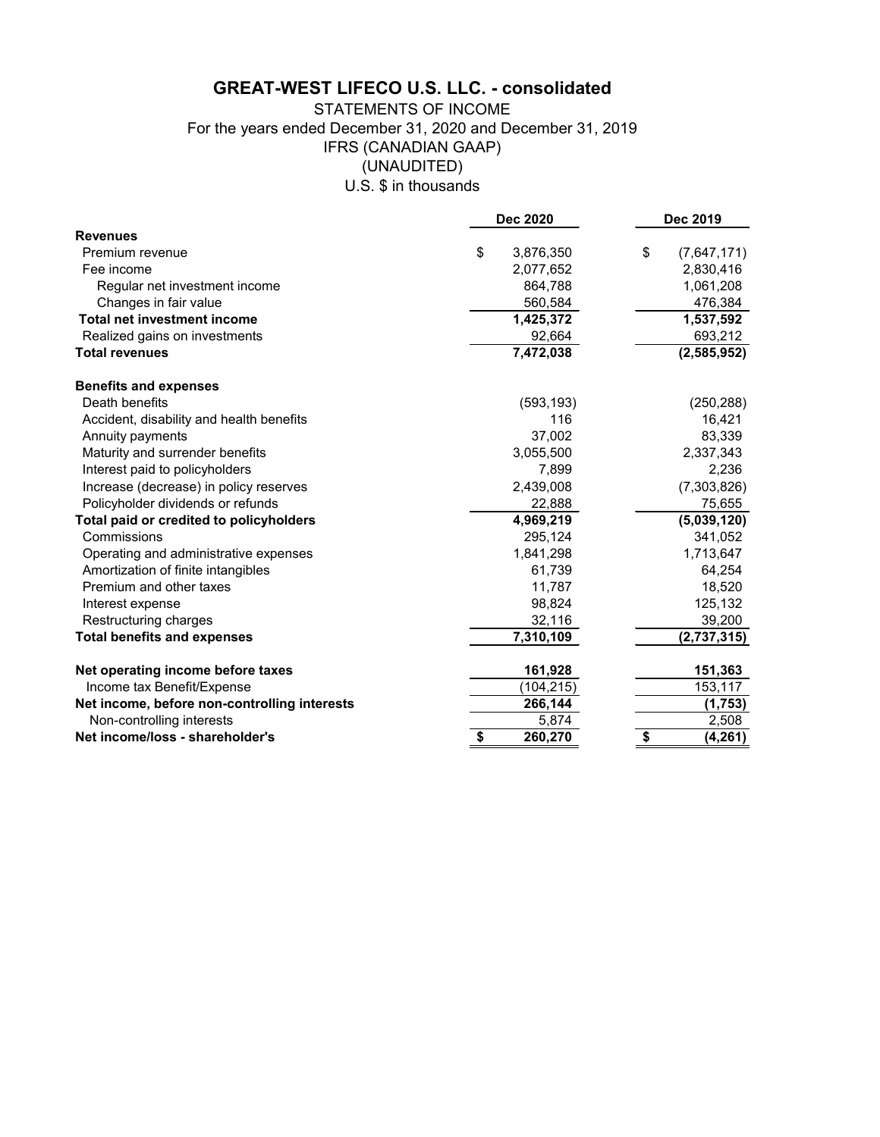### U.S. \$ in thousands STATEMENTS OF INCOME For the years ended December 31, 2020 and December 31, 2019 IFRS (CANADIAN GAAP) (UNAUDITED)

|                                              | <b>Dec 2020</b> | <b>Dec 2019</b>   |
|----------------------------------------------|-----------------|-------------------|
| <b>Revenues</b>                              |                 |                   |
| Premium revenue                              | \$<br>3,876,350 | \$<br>(7,647,171) |
| Fee income                                   | 2,077,652       | 2,830,416         |
| Regular net investment income                | 864,788         | 1,061,208         |
| Changes in fair value                        | 560,584         | 476,384           |
| <b>Total net investment income</b>           | 1,425,372       | 1,537,592         |
| Realized gains on investments                | 92,664          | 693,212           |
| <b>Total revenues</b>                        | 7,472,038       | (2,585,952)       |
| <b>Benefits and expenses</b>                 |                 |                   |
| Death benefits                               | (593, 193)      | (250, 288)        |
| Accident, disability and health benefits     | 116             | 16,421            |
| Annuity payments                             | 37,002          | 83,339            |
| Maturity and surrender benefits              | 3,055,500       | 2,337,343         |
| Interest paid to policyholders               | 7,899           | 2,236             |
| Increase (decrease) in policy reserves       | 2,439,008       | (7,303,826)       |
| Policyholder dividends or refunds            | 22,888          | 75,655            |
| Total paid or credited to policyholders      | 4,969,219       | (5,039,120)       |
| Commissions                                  | 295,124         | 341,052           |
| Operating and administrative expenses        | 1,841,298       | 1,713,647         |
| Amortization of finite intangibles           | 61,739          | 64,254            |
| Premium and other taxes                      | 11,787          | 18,520            |
| Interest expense                             | 98,824          | 125,132           |
| Restructuring charges                        | 32,116          | 39,200            |
| <b>Total benefits and expenses</b>           | 7,310,109       | (2,737,315)       |
| Net operating income before taxes            | 161,928         | 151,363           |
| Income tax Benefit/Expense                   | (104, 215)      | 153,117           |
| Net income, before non-controlling interests | 266,144         | (1,753)           |
| Non-controlling interests                    | 5,874           | 2,508             |
| Net income/loss - shareholder's              | \$<br>260,270   | \$<br>(4, 261)    |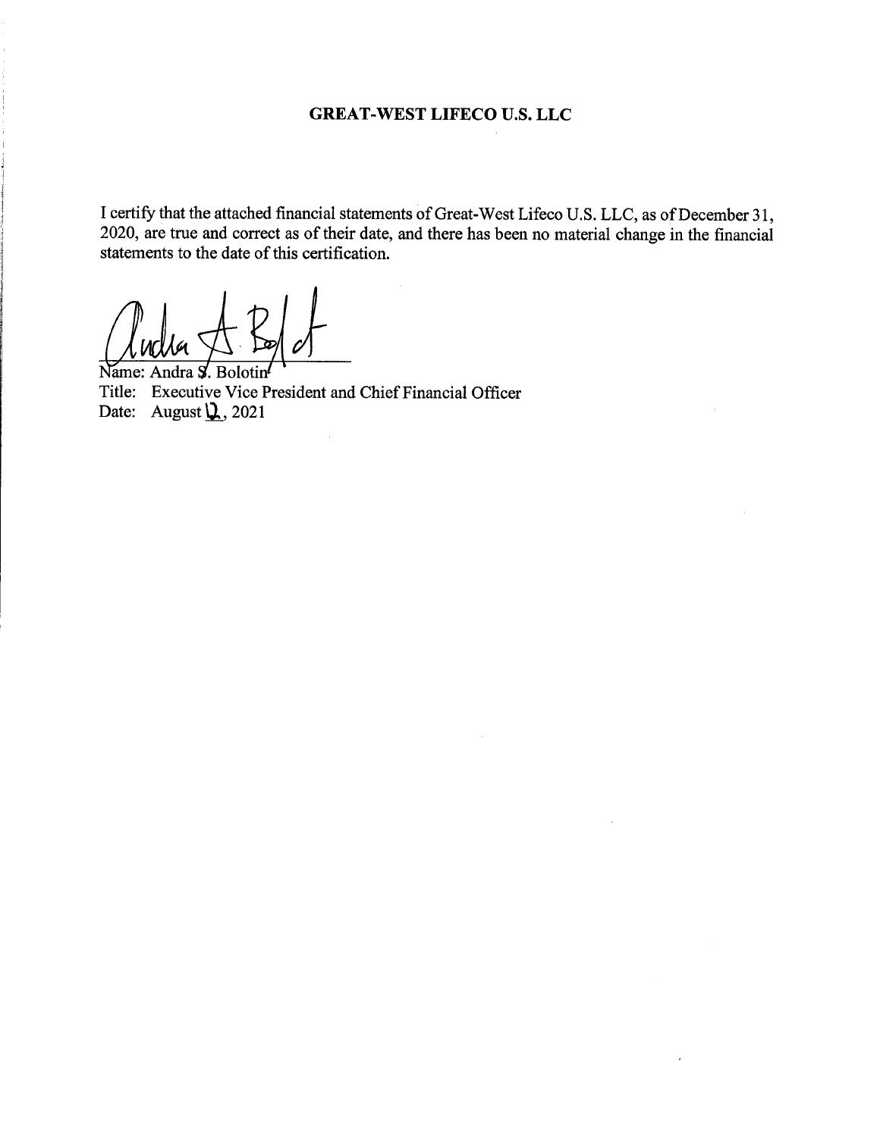I certify that the attached financial statements of Great-West Lifeco U.S. LLC, as of December 31, 2020, are true and correct as of their date, and there has been no material change in the financial statements to the date of this certification.

Name: Andra S. Bolotin Title: Executive Vice President and Chief Financial Officer Date: August  $Q$ , 2021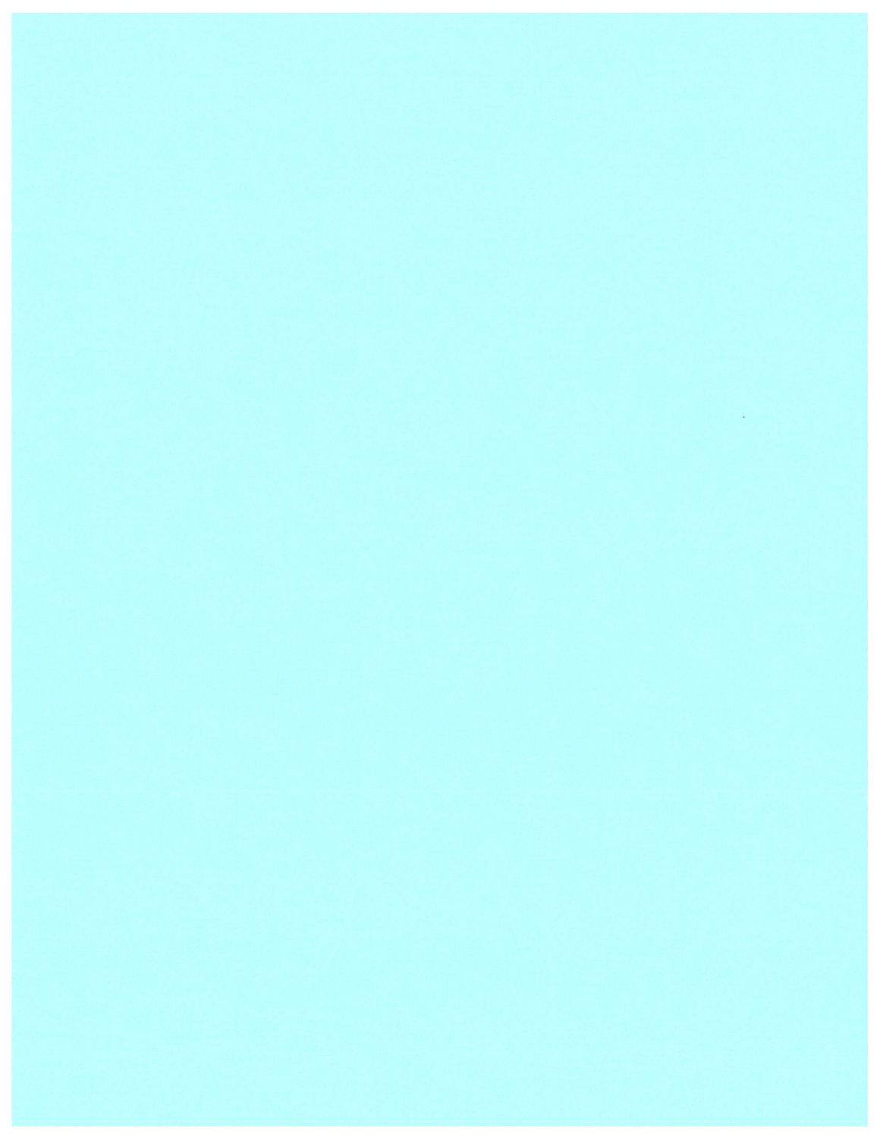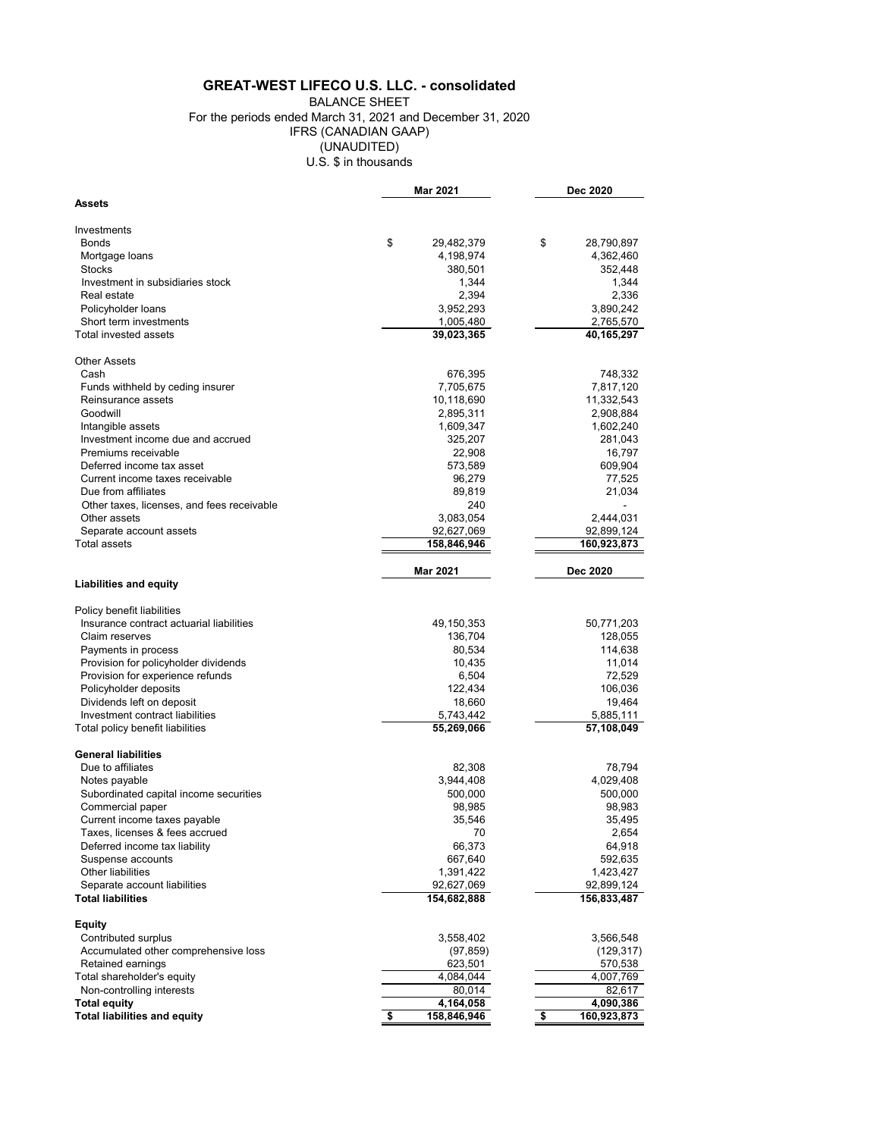|                                            | <b>Mar 2021</b>   | <b>Dec 2020</b>   |
|--------------------------------------------|-------------------|-------------------|
| <b>Assets</b>                              |                   |                   |
| Investments                                |                   |                   |
| <b>Bonds</b>                               | \$<br>29,482,379  | \$<br>28,790,897  |
| Mortgage loans                             | 4,198,974         | 4,362,460         |
| <b>Stocks</b>                              | 380,501           | 352,448           |
| Investment in subsidiaries stock           | 1,344             | 1,344             |
| Real estate                                | 2,394             | 2,336             |
| Policyholder loans                         | 3,952,293         | 3,890,242         |
| Short term investments                     | 1,005,480         | 2,765,570         |
| <b>Total invested assets</b>               | 39,023,365        | 40,165,297        |
| <b>Other Assets</b>                        |                   |                   |
| Cash                                       | 676,395           | 748,332           |
| Funds withheld by ceding insurer           | 7,705,675         | 7,817,120         |
| Reinsurance assets                         | 10,118,690        | 11,332,543        |
| Goodwill                                   | 2,895,311         | 2,908,884         |
| Intangible assets                          | 1,609,347         | 1,602,240         |
| Investment income due and accrued          | 325,207           | 281,043           |
| Premiums receivable                        | 22,908            | 16,797            |
| Deferred income tax asset                  | 573,589           | 609,904           |
| Current income taxes receivable            | 96,279            | 77,525            |
| Due from affiliates                        | 89,819            | 21,034            |
| Other taxes, licenses, and fees receivable | 240               |                   |
| Other assets                               | 3,083,054         | 2,444,031         |
| Separate account assets                    | 92,627,069        | 92,899,124        |
| Total assets                               | 158,846,946       | 160,923,873       |
|                                            | <b>Mar 2021</b>   | <b>Dec 2020</b>   |
| <b>Liabilities and equity</b>              |                   |                   |
| Policy benefit liabilities                 |                   |                   |
| Insurance contract actuarial liabilities   | 49, 150, 353      | 50,771,203        |
| Claim reserves                             | 136,704           | 128,055           |
| Payments in process                        | 80,534            | 114,638           |
| Provision for policyholder dividends       | 10,435            | 11,014            |
| Provision for experience refunds           | 6,504             | 72,529            |
| Policyholder deposits                      | 122,434           | 106,036           |
| Dividends left on deposit                  | 18,660            | 19,464            |
| Investment contract liabilities            | 5,743,442         | 5,885,111         |
| Total policy benefit liabilities           | 55,269,066        | 57,108,049        |
|                                            |                   |                   |
| <b>General liabilities</b>                 |                   |                   |
| Due to affiliates                          | 82,308            | 78,794            |
| Notes payable                              | 3,944,408         | 4,029,408         |
| Subordinated capital income securities     | 500,000           | 500,000           |
| Commercial paper                           | 98,985            | 98,983            |
| Current income taxes payable               | 35,546            | 35,495            |
| Taxes, licenses & fees accrued             | 70                | 2,654             |
| Deferred income tax liability              | 66,373            | 64,918            |
| Suspense accounts                          | 667,640           | 592,635           |
| <b>Other liabilities</b>                   | 1,391,422         | 1,423,427         |
| Separate account liabilities               | 92,627,069        | 92,899,124        |
| <b>Total liabilities</b>                   | 154,682,888       | 156,833,487       |
| <b>Equity</b>                              |                   |                   |
| Contributed surplus                        | 3,558,402         | 3,566,548         |
| Accumulated other comprehensive loss       | (97, 859)         | (129, 317)        |
| Retained earnings                          | 623,501           | 570,538           |
| Total shareholder's equity                 | 4,084,044         | 4,007,769         |
| Non-controlling interests                  | 80,014            | 82,617            |
| <b>Total equity</b>                        | 4,164,058         | 4,090,386         |
| <b>Total liabilities and equity</b>        | \$<br>158,846,946 | \$<br>160,923,873 |

BALANCE SHEET

U.S. \$ in thousands For the periods ended March 31, 2021 and December 31, 2020 IFRS (CANADIAN GAAP) (UNAUDITED)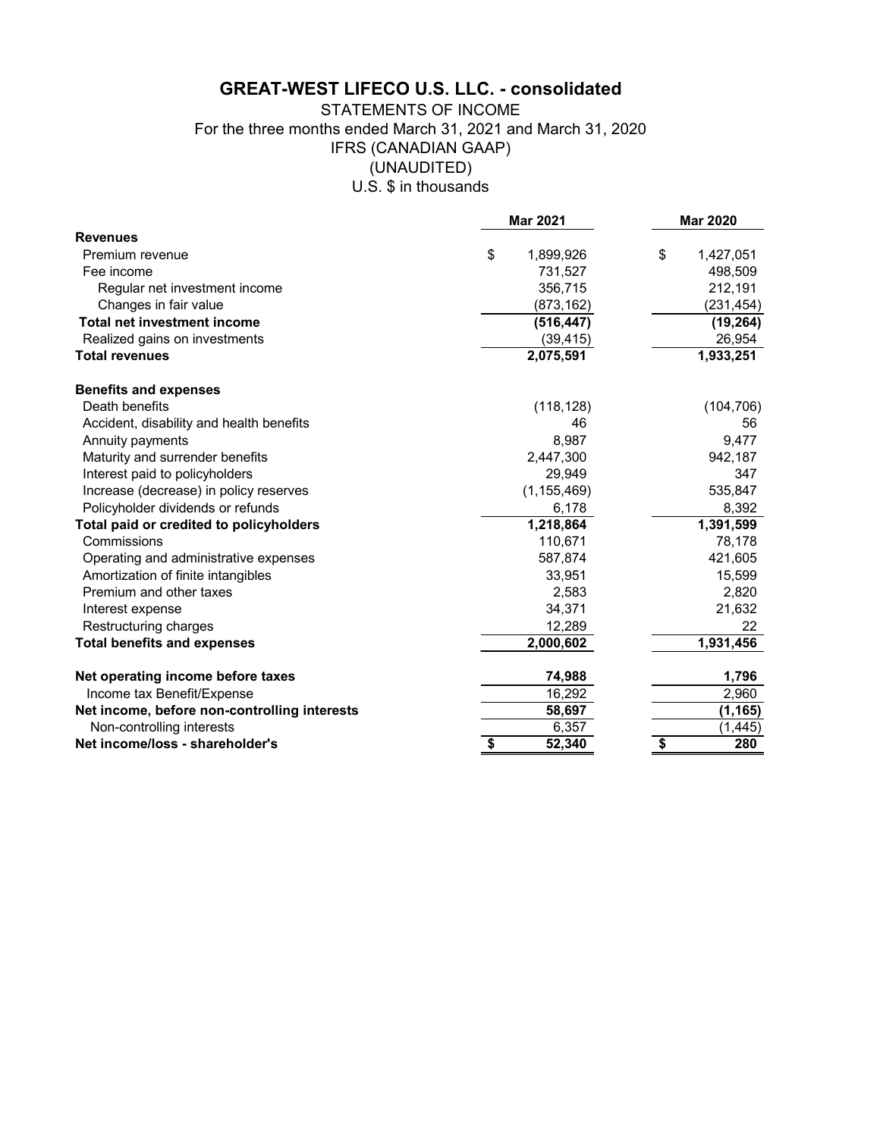### U.S. \$ in thousands STATEMENTS OF INCOME For the three months ended March 31, 2021 and March 31, 2020 IFRS (CANADIAN GAAP) (UNAUDITED)

|                                              | <b>Mar 2021</b>            | <b>Mar 2020</b>                         |
|----------------------------------------------|----------------------------|-----------------------------------------|
| <b>Revenues</b>                              |                            |                                         |
| Premium revenue                              | $\mathcal{S}$<br>1,899,926 | 1,427,051<br>$\boldsymbol{\mathcal{S}}$ |
| Fee income                                   | 731,527                    | 498,509                                 |
| Regular net investment income                | 356,715                    | 212,191                                 |
| Changes in fair value                        | (873, 162)                 | (231, 454)                              |
| <b>Total net investment income</b>           | (516, 447)                 | (19, 264)                               |
| Realized gains on investments                | (39, 415)                  | 26,954                                  |
| <b>Total revenues</b>                        | 2,075,591                  | 1,933,251                               |
| <b>Benefits and expenses</b>                 |                            |                                         |
| Death benefits                               | (118, 128)                 | (104, 706)                              |
| Accident, disability and health benefits     | 46                         | 56                                      |
| Annuity payments                             | 8,987                      | 9,477                                   |
| Maturity and surrender benefits              | 2,447,300                  | 942,187                                 |
| Interest paid to policyholders               | 29,949                     | 347                                     |
| Increase (decrease) in policy reserves       | (1, 155, 469)              | 535,847                                 |
| Policyholder dividends or refunds            | 6,178                      | 8,392                                   |
| Total paid or credited to policyholders      | 1,218,864                  | 1,391,599                               |
| Commissions                                  | 110,671                    | 78,178                                  |
| Operating and administrative expenses        | 587,874                    | 421,605                                 |
| Amortization of finite intangibles           | 33,951                     | 15,599                                  |
| Premium and other taxes                      | 2,583                      | 2,820                                   |
| Interest expense                             | 34,371                     | 21,632                                  |
| Restructuring charges                        | 12,289                     | 22                                      |
| <b>Total benefits and expenses</b>           | 2,000,602                  | 1,931,456                               |
| Net operating income before taxes            | 74,988                     | 1,796                                   |
| Income tax Benefit/Expense                   | 16,292                     | 2,960                                   |
| Net income, before non-controlling interests | 58,697                     | (1, 165)                                |
| Non-controlling interests                    | 6,357                      | (1, 445)                                |
| Net income/loss - shareholder's              | \$<br>52,340               | \$<br>280                               |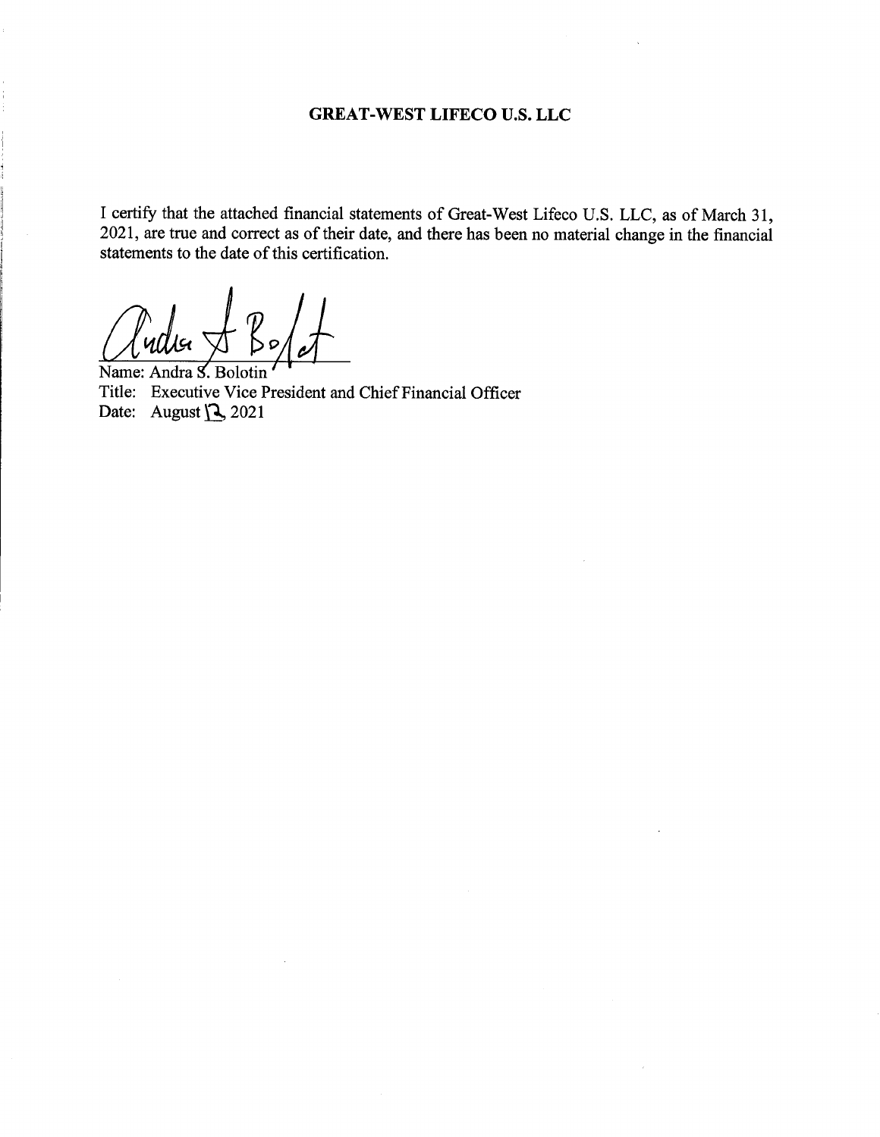I certify that the attached financial statements of Great-West Lifeco U.S. LLC, as of March 31, 2021, are true and correct as of their date, and there has been no material change in the financial statements to the date of this certification.

l'udia

Name: Andra S. Bolotin Title: Executive Vice President and Chief Financial Officer Date: August  $\sqrt{2}$ , 2021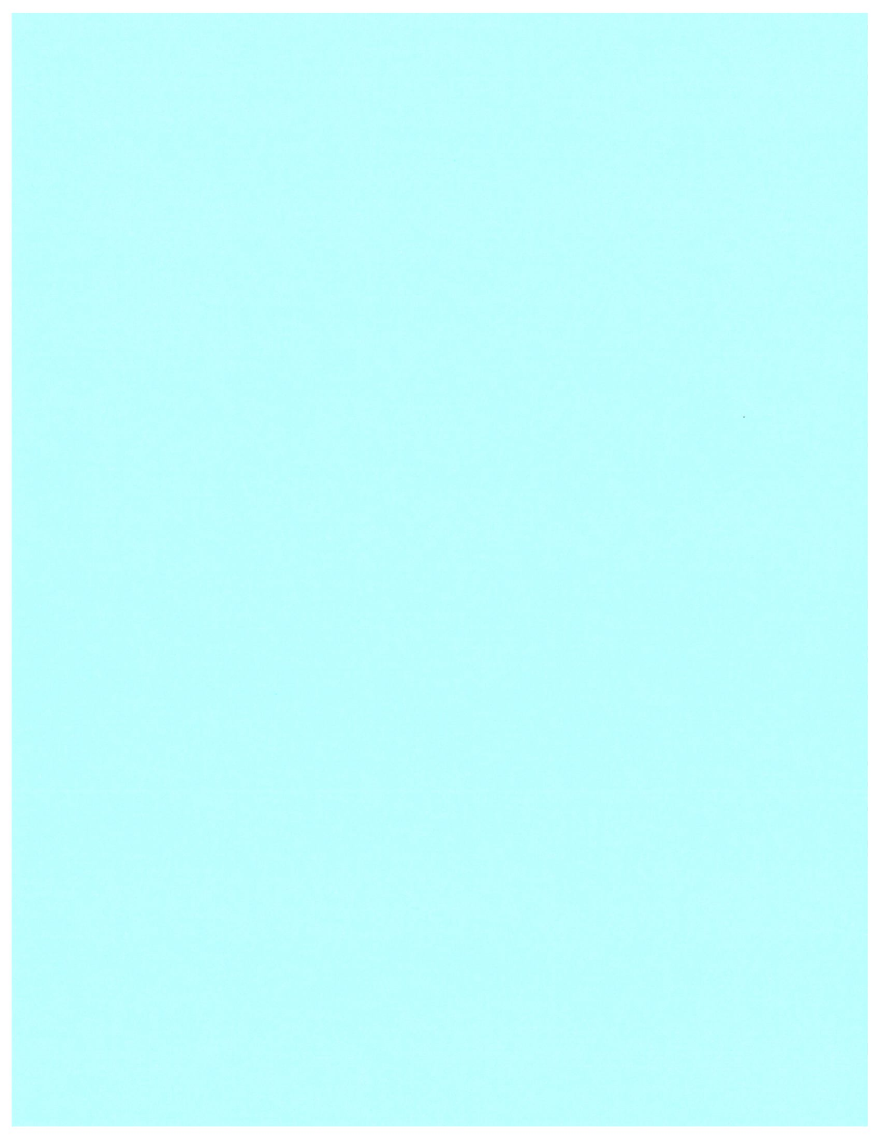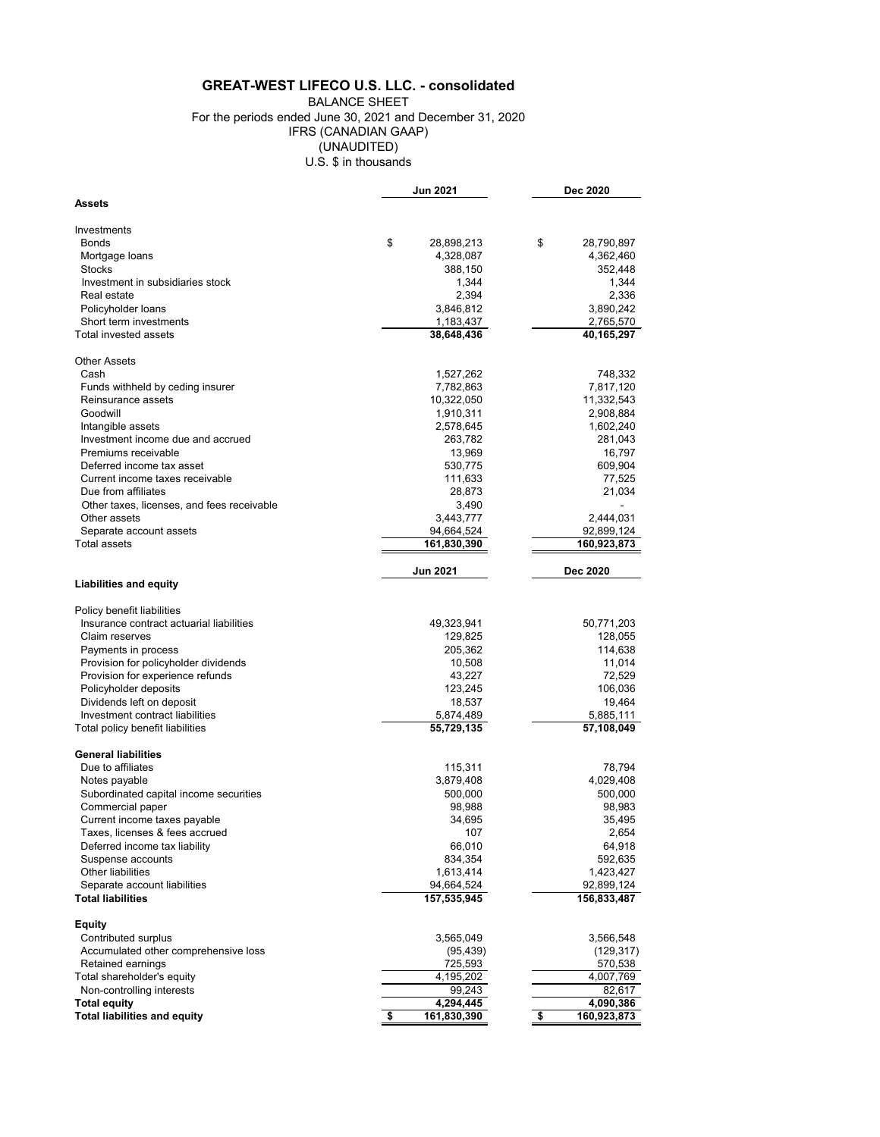| <b>Assets</b>                              | <b>Jun 2021</b>               | <b>Dec 2020</b>               |
|--------------------------------------------|-------------------------------|-------------------------------|
|                                            |                               |                               |
| Investments                                |                               |                               |
| <b>Bonds</b><br>Mortgage loans             | \$<br>28,898,213<br>4,328,087 | \$<br>28,790,897<br>4,362,460 |
| <b>Stocks</b>                              | 388,150                       | 352,448                       |
| Investment in subsidiaries stock           | 1,344                         | 1,344                         |
| <b>Real estate</b>                         | 2,394                         | 2,336                         |
| Policyholder loans                         | 3,846,812                     | 3,890,242                     |
| Short term investments                     | 1,183,437                     | 2,765,570                     |
| <b>Total invested assets</b>               | 38,648,436                    | 40,165,297                    |
| <b>Other Assets</b>                        |                               |                               |
| Cash                                       | 1,527,262                     | 748,332                       |
| Funds withheld by ceding insurer           | 7,782,863                     | 7,817,120                     |
| Reinsurance assets                         | 10,322,050                    | 11,332,543                    |
| Goodwill                                   | 1,910,311                     | 2,908,884                     |
| Intangible assets                          | 2,578,645                     | 1,602,240                     |
| Investment income due and accrued          | 263,782                       | 281,043                       |
| Premiums receivable                        | 13,969                        | 16,797                        |
| Deferred income tax asset                  | 530,775                       | 609,904                       |
| Current income taxes receivable            | 111,633                       | 77,525                        |
| Due from affiliates                        | 28,873                        | 21,034                        |
| Other taxes, licenses, and fees receivable | 3,490                         |                               |
| Other assets                               | 3,443,777                     | 2,444,031                     |
| Separate account assets                    | 94,664,524                    | 92,899,124                    |
| <b>Total assets</b>                        | 161,830,390                   | 160,923,873                   |
|                                            | <b>Jun 2021</b>               | <b>Dec 2020</b>               |
| <b>Liabilities and equity</b>              |                               |                               |
| Policy benefit liabilities                 |                               |                               |
| Insurance contract actuarial liabilities   | 49,323,941                    | 50,771,203                    |
| <b>Claim reserves</b>                      | 129,825                       | 128,055                       |
| Payments in process                        | 205,362                       | 114,638                       |
| Provision for policyholder dividends       | 10,508                        | 11,014                        |
| Provision for experience refunds           | 43,227                        | 72,529                        |
| Policyholder deposits                      | 123,245                       | 106,036                       |
| Dividends left on deposit                  | 18,537                        | 19,464                        |
| Investment contract liabilities            | 5,874,489                     | 5,885,111                     |
| Total policy benefit liabilities           | 55,729,135                    | 57,108,049                    |
| <b>General liabilities</b>                 |                               |                               |
| Due to affiliates                          | 115,311                       | 78,794                        |
| Notes payable                              | 3,879,408                     | 4,029,408                     |
| Subordinated capital income securities     | 500,000                       | 500,000                       |
| Commercial paper                           | 98,988                        | 98,983                        |
| Current income taxes payable               | 34,695                        | 35,495                        |
| Taxes, licenses & fees accrued             | 107                           | 2,654                         |
| Deferred income tax liability              | 66,010                        | 64,918                        |
| Suspense accounts                          | 834,354                       | 592,635                       |
| <b>Other liabilities</b>                   | 1,613,414                     | 1,423,427                     |
| Separate account liabilities               | 94,664,524                    | 92,899,124                    |
| <b>Total liabilities</b>                   | 157,535,945                   | 156,833,487                   |
| <b>Equity</b>                              |                               |                               |
| Contributed surplus                        | 3,565,049                     | 3,566,548                     |
| Accumulated other comprehensive loss       | (95, 439)                     | (129, 317)                    |
| Retained earnings                          | 725,593                       | 570,538                       |
| Total shareholder's equity                 | 4,195,202                     | 4,007,769                     |
| Non-controlling interests                  | 99,243                        | 82,617                        |
| <b>Total equity</b>                        | 4,294,445                     | 4,090,386                     |
| <b>Total liabilities and equity</b>        | 161,830,390<br>\$             | 160,923,873<br>\$             |

U.S. \$ in thousands

### **GREAT-WEST LIFECO U.S. LLC. - consolidated**

BALANCE SHEET For the periods ended June 30, 2021 and December 31, 2020 IFRS (CANADIAN GAAP)

(UNAUDITED)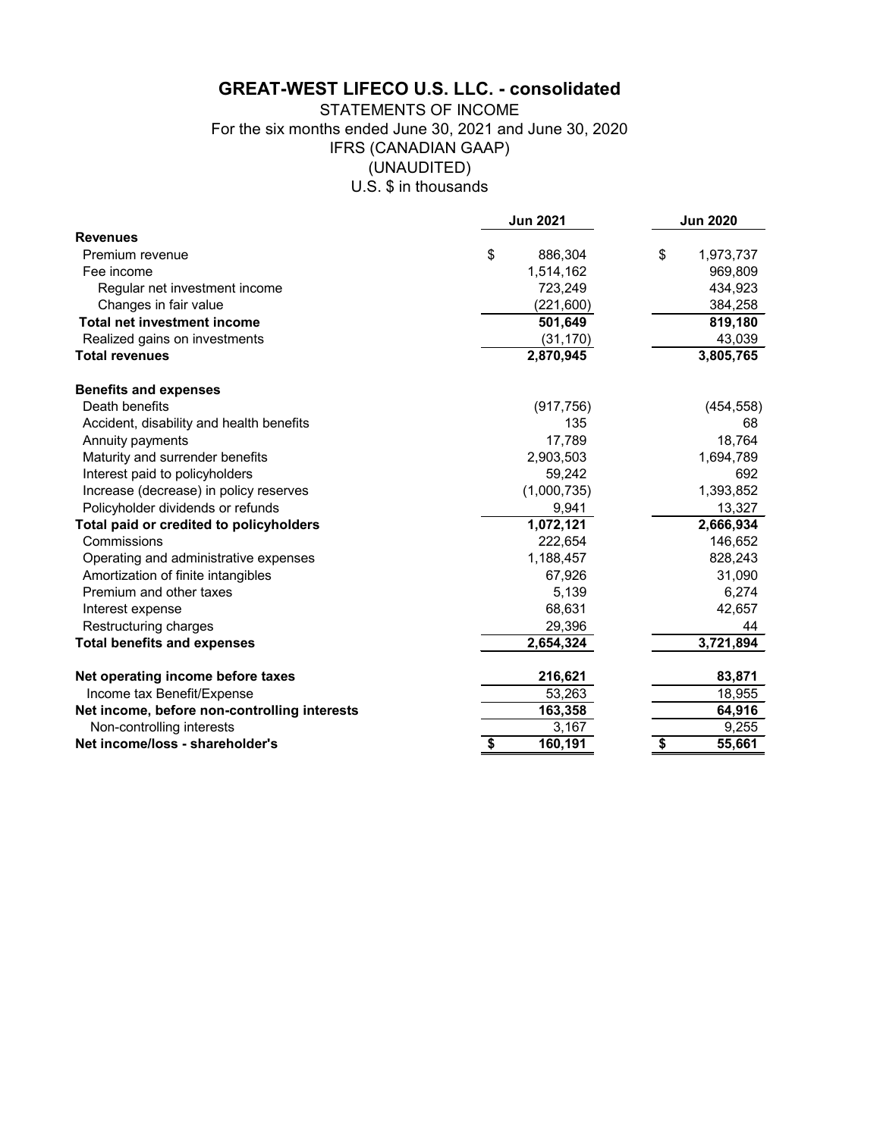### U.S. \$ in thousands STATEMENTS OF INCOME For the six months ended June 30, 2021 and June 30, 2020 IFRS (CANADIAN GAAP) (UNAUDITED)

|                                              | <b>Jun 2021</b>          | <b>Jun 2020</b>             |
|----------------------------------------------|--------------------------|-----------------------------|
| <b>Revenues</b>                              |                          |                             |
| Premium revenue                              | 886,304<br>$\mathcal{S}$ | $\mathfrak{S}$<br>1,973,737 |
| Fee income                                   | 1,514,162                | 969,809                     |
| Regular net investment income                | 723,249                  | 434,923                     |
| Changes in fair value                        | (221, 600)               | 384,258                     |
| <b>Total net investment income</b>           | 501,649                  | 819,180                     |
| Realized gains on investments                | (31, 170)                | 43,039                      |
| <b>Total revenues</b>                        | 2,870,945                | 3,805,765                   |
| <b>Benefits and expenses</b>                 |                          |                             |
| Death benefits                               | (917, 756)               | (454, 558)                  |
| Accident, disability and health benefits     | 135                      | 68                          |
| Annuity payments                             | 17,789                   | 18,764                      |
| Maturity and surrender benefits              | 2,903,503                | 1,694,789                   |
| Interest paid to policyholders               | 59,242                   | 692                         |
| Increase (decrease) in policy reserves       | (1,000,735)              | 1,393,852                   |
| Policyholder dividends or refunds            | 9,941                    | 13,327                      |
| Total paid or credited to policyholders      | 1,072,121                | 2,666,934                   |
| Commissions                                  | 222,654                  | 146,652                     |
| Operating and administrative expenses        | 1,188,457                | 828,243                     |
| Amortization of finite intangibles           | 67,926                   | 31,090                      |
| Premium and other taxes                      | 5,139                    | 6,274                       |
| Interest expense                             | 68,631                   | 42,657                      |
| Restructuring charges                        | 29,396                   | 44                          |
| <b>Total benefits and expenses</b>           | 2,654,324                | 3,721,894                   |
| Net operating income before taxes            | 216,621                  | 83,871                      |
| Income tax Benefit/Expense                   | 53,263                   | 18,955                      |
| Net income, before non-controlling interests | 163,358                  | 64,916                      |
| Non-controlling interests                    | 3,167                    | 9,255                       |
| Net income/loss - shareholder's              | \$<br>160,191            | \$<br>55,661                |